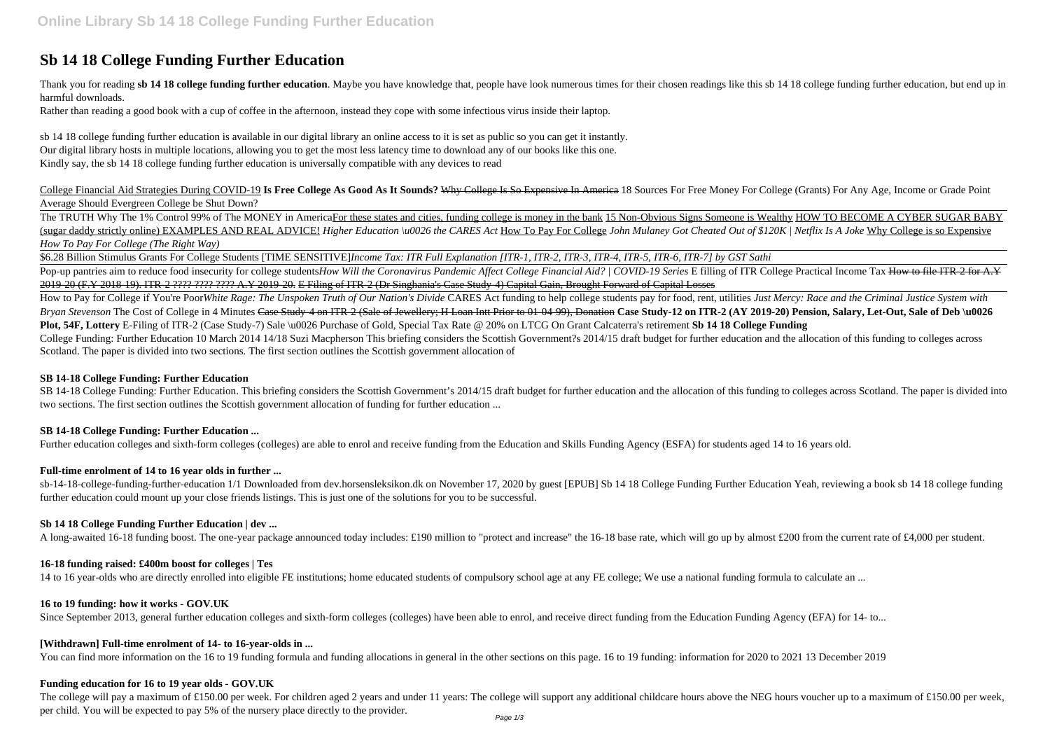# **Sb 14 18 College Funding Further Education**

Thank you for reading sb 14 18 college funding further education. Maybe you have knowledge that, people have look numerous times for their chosen readings like this sb 14 18 college funding further education, but end up in harmful downloads.

Rather than reading a good book with a cup of coffee in the afternoon, instead they cope with some infectious virus inside their laptop.

sb 14 18 college funding further education is available in our digital library an online access to it is set as public so you can get it instantly. Our digital library hosts in multiple locations, allowing you to get the most less latency time to download any of our books like this one. Kindly say, the sb 14 18 college funding further education is universally compatible with any devices to read

The TRUTH Why The 1% Control 99% of The MONEY in AmericaFor these states and cities, funding college is money in the bank 15 Non-Obvious Signs Someone is Wealthy HOW TO BECOME A CYBER SUGAR BABY (sugar daddy strictly online) EXAMPLES AND REAL ADVICE! *Higher Education \u0026 the CARES Act* How To Pay For College *John Mulaney Got Cheated Out of \$120K | Netflix Is A Joke* Why College is so Expensive *How To Pay For College (The Right Way)*

College Financial Aid Strategies During COVID-19 **Is Free College As Good As It Sounds?** Why College Is So Expensive In America 18 Sources For Free Money For College (Grants) For Any Age, Income or Grade Point Average Should Evergreen College be Shut Down?

How to Pay for College if You're PoorWhite Rage: The Unspoken Truth of Our Nation's Divide CARES Act funding to help college students pay for food, rent, utilities Just Mercy: Race and the Criminal Justice System with Bryan Stevenson The Cost of College in 4 Minutes Case Study-4 on ITR-2 (Sale of Jewellery; H Loan Intt Prior to 01-04-99), Donation Case Study-12 on ITR-2 (AY 2019-20) Pension, Salary, Let-Out, Sale of Deb \u0026 **Plot, 54F, Lottery** E-Filing of ITR-2 (Case Study-7) Sale \u0026 Purchase of Gold, Special Tax Rate @ 20% on LTCG On Grant Calcaterra's retirement **Sb 14 18 College Funding** College Funding: Further Education 10 March 2014 14/18 Suzi Macpherson This briefing considers the Scottish Government?s 2014/15 draft budget for further education and the allocation of this funding to colleges across Scotland. The paper is divided into two sections. The first section outlines the Scottish government allocation of

SB 14-18 College Funding: Further Education. This briefing considers the Scottish Government's 2014/15 draft budget for further education and the allocation of this funding to colleges across Scotland. The paper is divided two sections. The first section outlines the Scottish government allocation of funding for further education ...

\$6.28 Billion Stimulus Grants For College Students [TIME SENSITIVE]*Income Tax: ITR Full Explanation [ITR-1, ITR-2, ITR-3, ITR-4, ITR-5, ITR-6, ITR-7] by GST Sathi* Pop-up pantries aim to reduce food insecurity for college studentsHow Will the Coronavirus Pandemic Affect College Financial Aid? / COVID-19 Series E filling of ITR College Practical Income Tax How to file ITR-2 for A.Y 2019-20 (F.Y 2018-19). ITR-2 ???? ???? ???? A.Y 2019-20. E Filing of ITR-2 (Dr Singhania's Case Study-4) Capital Gain, Brought Forward of Capital Losses

The college will pay a maximum of £150.00 per week. For children aged 2 years and under 11 years: The college will support any additional childcare hours above the NEG hours voucher up to a maximum of £150.00 per week, per child. You will be expected to pay 5% of the nursery place directly to the provider.

#### **SB 14-18 College Funding: Further Education**

#### **SB 14-18 College Funding: Further Education ...**

Further education colleges and sixth-form colleges (colleges) are able to enrol and receive funding from the Education and Skills Funding Agency (ESFA) for students aged 14 to 16 years old.

# **Full-time enrolment of 14 to 16 year olds in further ...**

sb-14-18-college-funding-further-education 1/1 Downloaded from dev.horsensleksikon.dk on November 17, 2020 by guest [EPUB] Sb 14 18 College Funding Further Education Yeah, reviewing a book sb 14 18 college funding further education could mount up your close friends listings. This is just one of the solutions for you to be successful.

# **Sb 14 18 College Funding Further Education | dev ...**

A long-awaited 16-18 funding boost. The one-year package announced today includes: £190 million to "protect and increase" the 16-18 base rate, which will go up by almost £200 from the current rate of £4,000 per student.

#### **16-18 funding raised: £400m boost for colleges | Tes**

14 to 16 year-olds who are directly enrolled into eligible FE institutions; home educated students of compulsory school age at any FE college; We use a national funding formula to calculate an ...

#### **16 to 19 funding: how it works - GOV.UK**

Since September 2013, general further education colleges and sixth-form colleges (colleges) have been able to enrol, and receive direct funding from the Education Funding Agency (EFA) for 14- to...

#### **[Withdrawn] Full-time enrolment of 14- to 16-year-olds in ...**

You can find more information on the 16 to 19 funding formula and funding allocations in general in the other sections on this page. 16 to 19 funding: information for 2020 to 2021 13 December 2019

#### **Funding education for 16 to 19 year olds - GOV.UK**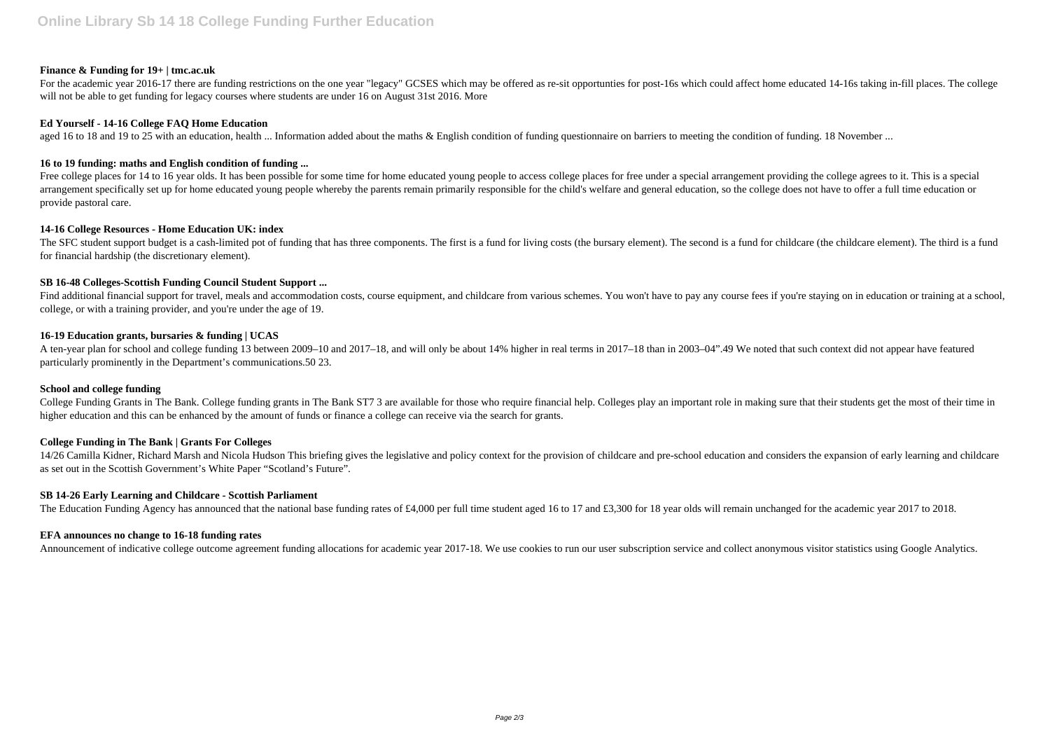## **Finance & Funding for 19+ | tmc.ac.uk**

For the academic year 2016-17 there are funding restrictions on the one year "legacy" GCSES which may be offered as re-sit opportunties for post-16s which could affect home educated 14-16s taking in-fill places. The colleg will not be able to get funding for legacy courses where students are under 16 on August 31st 2016. More

#### **Ed Yourself - 14-16 College FAQ Home Education**

aged 16 to 18 and 19 to 25 with an education, health ... Information added about the maths & English condition of funding questionnaire on barriers to meeting the condition of funding. 18 November ...

Free college places for 14 to 16 year olds. It has been possible for some time for home educated young people to access college places for free under a special arrangement providing the college agrees to it. This is a spec arrangement specifically set up for home educated young people whereby the parents remain primarily responsible for the child's welfare and general education, so the college does not have to offer a full time education or provide pastoral care.

## **16 to 19 funding: maths and English condition of funding ...**

The SFC student support budget is a cash-limited pot of funding that has three components. The first is a fund for living costs (the bursary element). The second is a fund for childcare (the childcare element). The third i for financial hardship (the discretionary element).

Find additional financial support for travel, meals and accommodation costs, course equipment, and childcare from various schemes. You won't have to pay any course fees if you're staying on in education or training at a sc college, or with a training provider, and you're under the age of 19.

## **14-16 College Resources - Home Education UK: index**

College Funding Grants in The Bank. College funding grants in The Bank ST7 3 are available for those who require financial help. Colleges play an important role in making sure that their students get the most of their time higher education and this can be enhanced by the amount of funds or finance a college can receive via the search for grants.

## **SB 16-48 Colleges-Scottish Funding Council Student Support ...**

## **16-19 Education grants, bursaries & funding | UCAS**

A ten-year plan for school and college funding 13 between 2009–10 and 2017–18, and will only be about 14% higher in real terms in 2017–18 than in 2003–04".49 We noted that such context did not appear have featured particularly prominently in the Department's communications.50 23.

#### **School and college funding**

# **College Funding in The Bank | Grants For Colleges**

14/26 Camilla Kidner, Richard Marsh and Nicola Hudson This briefing gives the legislative and policy context for the provision of childcare and pre-school education and considers the expansion of early learning and childcare as set out in the Scottish Government's White Paper "Scotland's Future".

#### **SB 14-26 Early Learning and Childcare - Scottish Parliament**

The Education Funding Agency has announced that the national base funding rates of £4,000 per full time student aged 16 to 17 and £3,300 for 18 year olds will remain unchanged for the academic year 2017 to 2018.

#### **EFA announces no change to 16-18 funding rates**

Announcement of indicative college outcome agreement funding allocations for academic year 2017-18. We use cookies to run our user subscription service and collect anonymous visitor statistics using Google Analytics.